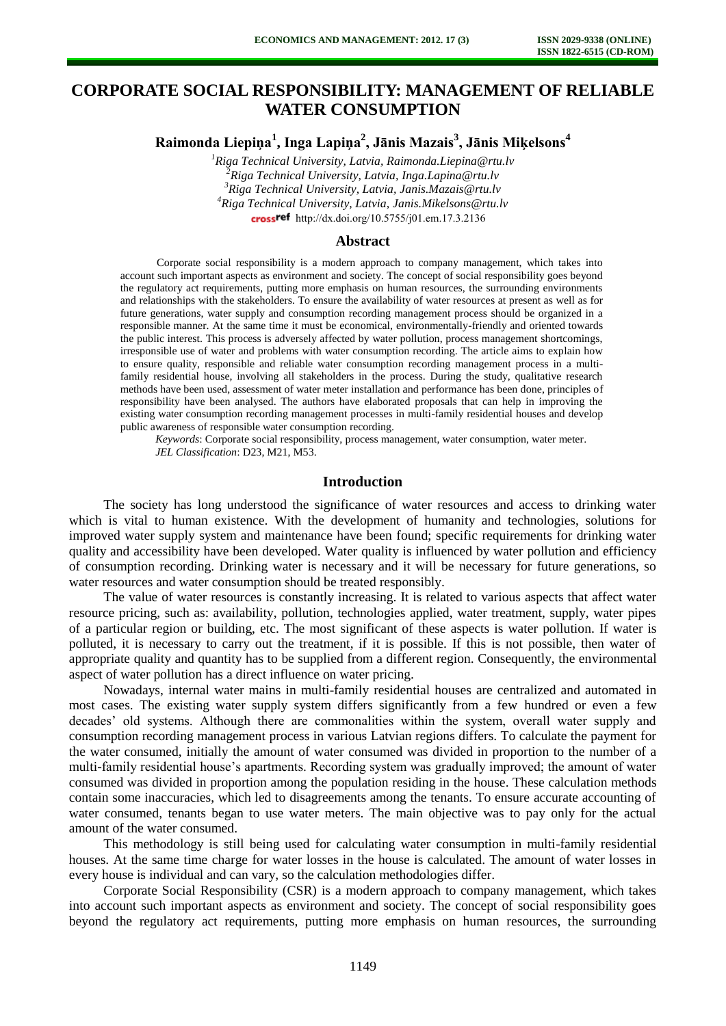# **CORPORATE SOCIAL RESPONSIBILITY: MANAGEMENT OF RELIABLE WATER CONSUMPTION**

**Raimonda Liepiņa<sup>1</sup> , Inga Lapiņa<sup>2</sup> , Jānis Mazais<sup>3</sup> , Jānis Miķelsons<sup>4</sup>**

*Riga Technical University, Latvia, Raimonda.Liepina@rtu.lv Riga Technical University, Latvia, Inga.Lapina@rtu.lv Riga Technical University, Latvia, Janis.Mazais@rtu.lv Riga Technical University, Latvia, Janis.Mikelsons@rtu.lv*  crossref [http://dx.doi.org/10.5755/j01.e](http://dx.doi.org/10.5755/j01.em.17.3.2136)m.17.3.2136

#### **Abstract**

Corporate social responsibility is a modern approach to company management, which takes into account such important aspects as environment and society. The concept of social responsibility goes beyond the regulatory act requirements, putting more emphasis on human resources, the surrounding environments and relationships with the stakeholders. To ensure the availability of water resources at present as well as for future generations, water supply and consumption recording management process should be organized in a responsible manner. At the same time it must be economical, environmentally-friendly and oriented towards the public interest. This process is adversely affected by water pollution, process management shortcomings, irresponsible use of water and problems with water consumption recording. The article aims to explain how to ensure quality, responsible and reliable water consumption recording management process in a multifamily residential house, involving all stakeholders in the process. During the study, qualitative research methods have been used, assessment of water meter installation and performance has been done, principles of responsibility have been analysed. The authors have elaborated proposals that can help in improving the existing water consumption recording management processes in multi-family residential houses and develop public awareness of responsible water consumption recording.

*Keywords*: Corporate social responsibility, process management, water consumption, water meter. *JEL Classification*: D23, M21, M53.

## **Introduction**

The society has long understood the significance of water resources and access to drinking water which is vital to human existence. With the development of humanity and technologies, solutions for improved water supply system and maintenance have been found; specific requirements for drinking water quality and accessibility have been developed. Water quality is influenced by water pollution and efficiency of consumption recording. Drinking water is necessary and it will be necessary for future generations, so water resources and water consumption should be treated responsibly.

The value of water resources is constantly increasing. It is related to various aspects that affect water resource pricing, such as: availability, pollution, technologies applied, water treatment, supply, water pipes of a particular region or building, etc. The most significant of these aspects is water pollution. If water is polluted, it is necessary to carry out the treatment, if it is possible. If this is not possible, then water of appropriate quality and quantity has to be supplied from a different region. Consequently, the environmental aspect of water pollution has a direct influence on water pricing.

Nowadays, internal water mains in multi-family residential houses are centralized and automated in most cases. The existing water supply system differs significantly from a few hundred or even a few decades' old systems. Although there are commonalities within the system, overall water supply and consumption recording management process in various Latvian regions differs. To calculate the payment for the water consumed, initially the amount of water consumed was divided in proportion to the number of a multi-family residential house's apartments. Recording system was gradually improved; the amount of water consumed was divided in proportion among the population residing in the house. These calculation methods contain some inaccuracies, which led to disagreements among the tenants. To ensure accurate accounting of water consumed, tenants began to use water meters. The main objective was to pay only for the actual amount of the water consumed.

This methodology is still being used for calculating water consumption in multi-family residential houses. At the same time charge for water losses in the house is calculated. The amount of water losses in every house is individual and can vary, so the calculation methodologies differ.

Corporate Social Responsibility (CSR) is a modern approach to company management, which takes into account such important aspects as environment and society. The concept of social responsibility goes beyond the regulatory act requirements, putting more emphasis on human resources, the surrounding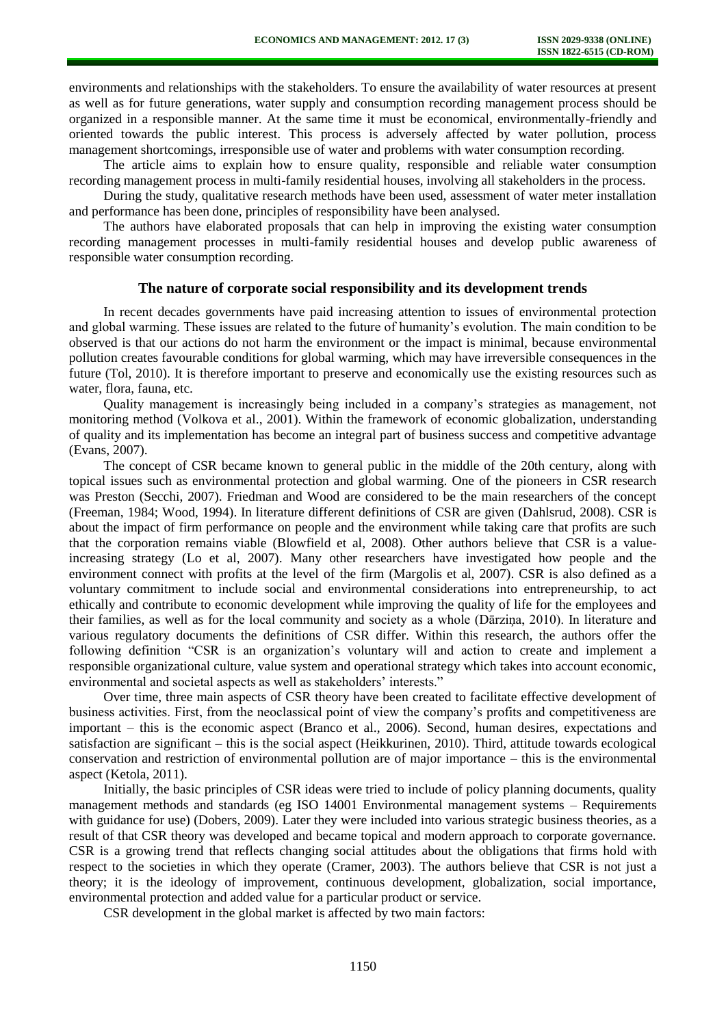environments and relationships with the stakeholders. To ensure the availability of water resources at present as well as for future generations, water supply and consumption recording management process should be organized in a responsible manner. At the same time it must be economical, environmentally-friendly and oriented towards the public interest. This process is adversely affected by water pollution, process management shortcomings, irresponsible use of water and problems with water consumption recording.

The article aims to explain how to ensure quality, responsible and reliable water consumption recording management process in multi-family residential houses, involving all stakeholders in the process.

During the study, qualitative research methods have been used, assessment of water meter installation and performance has been done, principles of responsibility have been analysed.

The authors have elaborated proposals that can help in improving the existing water consumption recording management processes in multi-family residential houses and develop public awareness of responsible water consumption recording.

## **The nature of corporate social responsibility and its development trends**

In recent decades governments have paid increasing attention to issues of environmental protection and global warming. These issues are related to the future of humanity's evolution. The main condition to be observed is that our actions do not harm the environment or the impact is minimal, because environmental pollution creates favourable conditions for global warming, which may have irreversible consequences in the future (Tol, 2010). It is therefore important to preserve and economically use the existing resources such as water, flora, fauna, etc.

Quality management is increasingly being included in a company's strategies as management, not monitoring method (Volkova et al., 2001). Within the framework of economic globalization, understanding of quality and its implementation has become an integral part of business success and competitive advantage (Evans, 2007).

The concept of CSR became known to general public in the middle of the 20th century, along with topical issues such as environmental protection and global warming. One of the pioneers in CSR research was Preston (Secchi, 2007). Friedman and Wood are considered to be the main researchers of the concept (Freeman, 1984; Wood, 1994). In literature different definitions of CSR are given (Dahlsrud, 2008). CSR is about the impact of firm performance on people and the environment while taking care that profits are such that the corporation remains viable (Blowfield et al, 2008). Other authors believe that CSR is a valueincreasing strategy (Lo et al, 2007). Many other researchers have investigated how people and the environment connect with profits at the level of the firm (Margolis et al, 2007). CSR is also defined as a voluntary commitment to include social and environmental considerations into entrepreneurship, to act ethically and contribute to economic development while improving the quality of life for the employees and their families, as well as for the local community and society as a whole (Dārziņa, 2010). In literature and various regulatory documents the definitions of CSR differ. Within this research, the authors offer the following definition "CSR is an organization's voluntary will and action to create and implement a responsible organizational culture, value system and operational strategy which takes into account economic, environmental and societal aspects as well as stakeholders' interests."

Over time, three main aspects of CSR theory have been created to facilitate effective development of business activities. First, from the neoclassical point of view the company's profits and competitiveness are important – this is the economic aspect (Branco et al., 2006). Second, human desires, expectations and satisfaction are significant – this is the social aspect (Heikkurinen, 2010). Third, attitude towards ecological conservation and restriction of environmental pollution are of major importance – this is the environmental aspect (Ketola, 2011).

Initially, the basic principles of CSR ideas were tried to include of policy planning documents, quality management methods and standards (eg ISO 14001 Environmental management systems – Requirements with guidance for use) (Dobers, 2009). Later they were included into various strategic business theories, as a result of that CSR theory was developed and became topical and modern approach to corporate governance. CSR is a growing trend that reflects changing social attitudes about the obligations that firms hold with respect to the societies in which they operate (Cramer, 2003). The authors believe that CSR is not just a theory; it is the ideology of improvement, continuous development, globalization, social importance, environmental protection and added value for a particular product or service.

CSR development in the global market is affected by two main factors: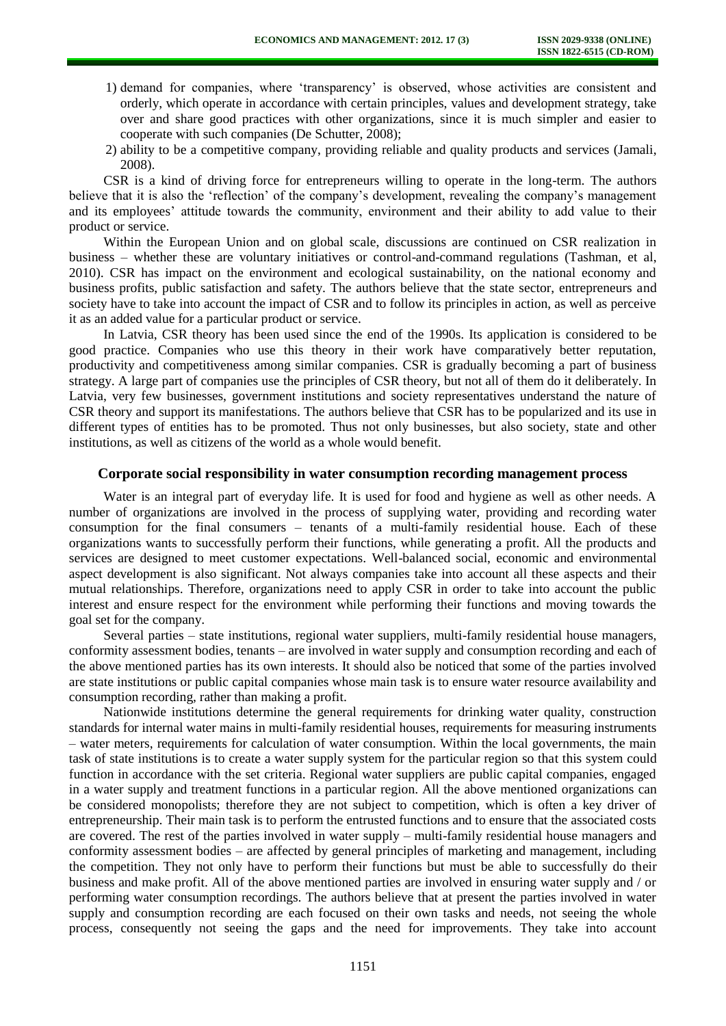- 1) demand for companies, where 'transparency' is observed, whose activities are consistent and orderly, which operate in accordance with certain principles, values and development strategy, take over and share good practices with other organizations, since it is much simpler and easier to cooperate with such companies (De Schutter, 2008);
- 2) ability to be a competitive company, providing reliable and quality products and services (Jamali, 2008).

CSR is a kind of driving force for entrepreneurs willing to operate in the long-term. The authors believe that it is also the 'reflection' of the company's development, revealing the company's management and its employees' attitude towards the community, environment and their ability to add value to their product or service.

Within the European Union and on global scale, discussions are continued on CSR realization in business – whether these are voluntary initiatives or control-and-command regulations (Tashman, et al, 2010). CSR has impact on the environment and ecological sustainability, on the national economy and business profits, public satisfaction and safety. The authors believe that the state sector, entrepreneurs and society have to take into account the impact of CSR and to follow its principles in action, as well as perceive it as an added value for a particular product or service.

In Latvia, CSR theory has been used since the end of the 1990s. Its application is considered to be good practice. Companies who use this theory in their work have comparatively better reputation, productivity and competitiveness among similar companies. CSR is gradually becoming a part of business strategy. A large part of companies use the principles of CSR theory, but not all of them do it deliberately. In Latvia, very few businesses, government institutions and society representatives understand the nature of CSR theory and support its manifestations. The authors believe that CSR has to be popularized and its use in different types of entities has to be promoted. Thus not only businesses, but also society, state and other institutions, as well as citizens of the world as a whole would benefit.

## **Corporate social responsibility in water consumption recording management process**

Water is an integral part of everyday life. It is used for food and hygiene as well as other needs. A number of organizations are involved in the process of supplying water, providing and recording water consumption for the final consumers – tenants of a multi-family residential house. Each of these organizations wants to successfully perform their functions, while generating a profit. All the products and services are designed to meet customer expectations. Well-balanced social, economic and environmental aspect development is also significant. Not always companies take into account all these aspects and their mutual relationships. Therefore, organizations need to apply CSR in order to take into account the public interest and ensure respect for the environment while performing their functions and moving towards the goal set for the company.

Several parties – state institutions, regional water suppliers, multi-family residential house managers, conformity assessment bodies, tenants – are involved in water supply and consumption recording and each of the above mentioned parties has its own interests. It should also be noticed that some of the parties involved are state institutions or public capital companies whose main task is to ensure water resource availability and consumption recording, rather than making a profit.

Nationwide institutions determine the general requirements for drinking water quality, construction standards for internal water mains in multi-family residential houses, requirements for measuring instruments – water meters, requirements for calculation of water consumption. Within the local governments, the main task of state institutions is to create a water supply system for the particular region so that this system could function in accordance with the set criteria. Regional water suppliers are public capital companies, engaged in a water supply and treatment functions in a particular region. All the above mentioned organizations can be considered monopolists; therefore they are not subject to competition, which is often a key driver of entrepreneurship. Their main task is to perform the entrusted functions and to ensure that the associated costs are covered. The rest of the parties involved in water supply – multi-family residential house managers and conformity assessment bodies – are affected by general principles of marketing and management, including the competition. They not only have to perform their functions but must be able to successfully do their business and make profit. All of the above mentioned parties are involved in ensuring water supply and / or performing water consumption recordings. The authors believe that at present the parties involved in water supply and consumption recording are each focused on their own tasks and needs, not seeing the whole process, consequently not seeing the gaps and the need for improvements. They take into account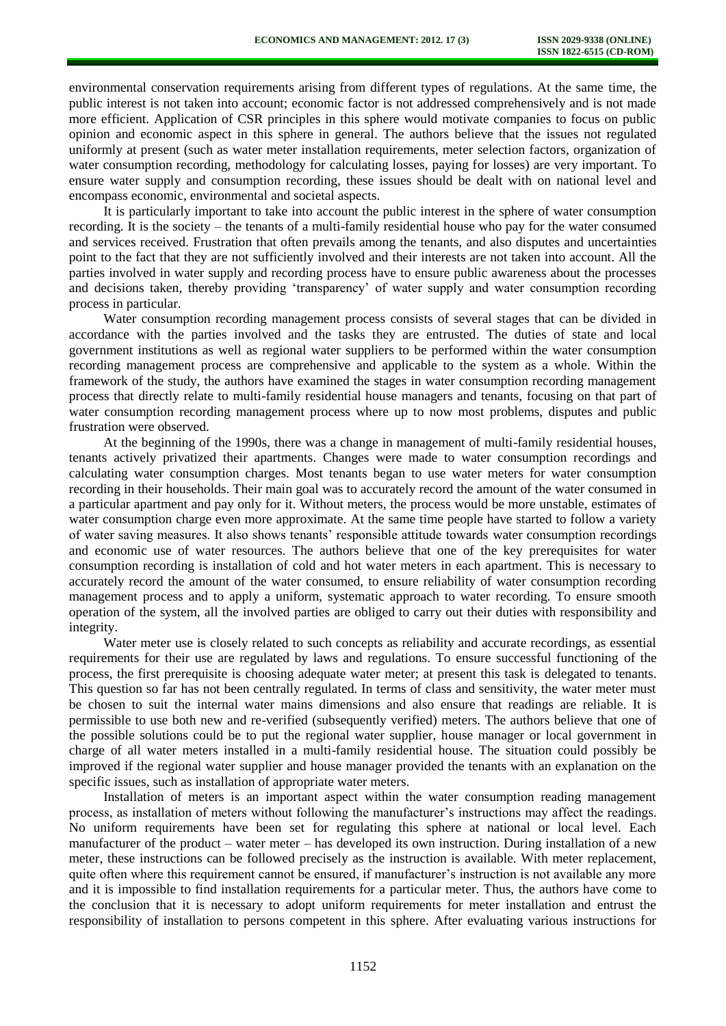environmental conservation requirements arising from different types of regulations. At the same time, the public interest is not taken into account; economic factor is not addressed comprehensively and is not made more efficient. Application of CSR principles in this sphere would motivate companies to focus on public opinion and economic aspect in this sphere in general. The authors believe that the issues not regulated uniformly at present (such as water meter installation requirements, meter selection factors, organization of water consumption recording, methodology for calculating losses, paying for losses) are very important. To ensure water supply and consumption recording, these issues should be dealt with on national level and encompass economic, environmental and societal aspects.

It is particularly important to take into account the public interest in the sphere of water consumption recording. It is the society – the tenants of a multi-family residential house who pay for the water consumed and services received. Frustration that often prevails among the tenants, and also disputes and uncertainties point to the fact that they are not sufficiently involved and their interests are not taken into account. All the parties involved in water supply and recording process have to ensure public awareness about the processes and decisions taken, thereby providing 'transparency' of water supply and water consumption recording process in particular.

Water consumption recording management process consists of several stages that can be divided in accordance with the parties involved and the tasks they are entrusted. The duties of state and local government institutions as well as regional water suppliers to be performed within the water consumption recording management process are comprehensive and applicable to the system as a whole. Within the framework of the study, the authors have examined the stages in water consumption recording management process that directly relate to multi-family residential house managers and tenants, focusing on that part of water consumption recording management process where up to now most problems, disputes and public frustration were observed.

At the beginning of the 1990s, there was a change in management of multi-family residential houses, tenants actively privatized their apartments. Changes were made to water consumption recordings and calculating water consumption charges. Most tenants began to use water meters for water consumption recording in their households. Their main goal was to accurately record the amount of the water consumed in a particular apartment and pay only for it. Without meters, the process would be more unstable, estimates of water consumption charge even more approximate. At the same time people have started to follow a variety of water saving measures. It also shows tenants' responsible attitude towards water consumption recordings and economic use of water resources. The authors believe that one of the key prerequisites for water consumption recording is installation of cold and hot water meters in each apartment. This is necessary to accurately record the amount of the water consumed, to ensure reliability of water consumption recording management process and to apply a uniform, systematic approach to water recording. To ensure smooth operation of the system, all the involved parties are obliged to carry out their duties with responsibility and integrity.

Water meter use is closely related to such concepts as reliability and accurate recordings, as essential requirements for their use are regulated by laws and regulations. To ensure successful functioning of the process, the first prerequisite is choosing adequate water meter; at present this task is delegated to tenants. This question so far has not been centrally regulated. In terms of class and sensitivity, the water meter must be chosen to suit the internal water mains dimensions and also ensure that readings are reliable. It is permissible to use both new and re-verified (subsequently verified) meters. The authors believe that one of the possible solutions could be to put the regional water supplier, house manager or local government in charge of all water meters installed in a multi-family residential house. The situation could possibly be improved if the regional water supplier and house manager provided the tenants with an explanation on the specific issues, such as installation of appropriate water meters.

Installation of meters is an important aspect within the water consumption reading management process, as installation of meters without following the manufacturer's instructions may affect the readings. No uniform requirements have been set for regulating this sphere at national or local level. Each manufacturer of the product – water meter – has developed its own instruction. During installation of a new meter, these instructions can be followed precisely as the instruction is available. With meter replacement, quite often where this requirement cannot be ensured, if manufacturer's instruction is not available any more and it is impossible to find installation requirements for a particular meter. Thus, the authors have come to the conclusion that it is necessary to adopt uniform requirements for meter installation and entrust the responsibility of installation to persons competent in this sphere. After evaluating various instructions for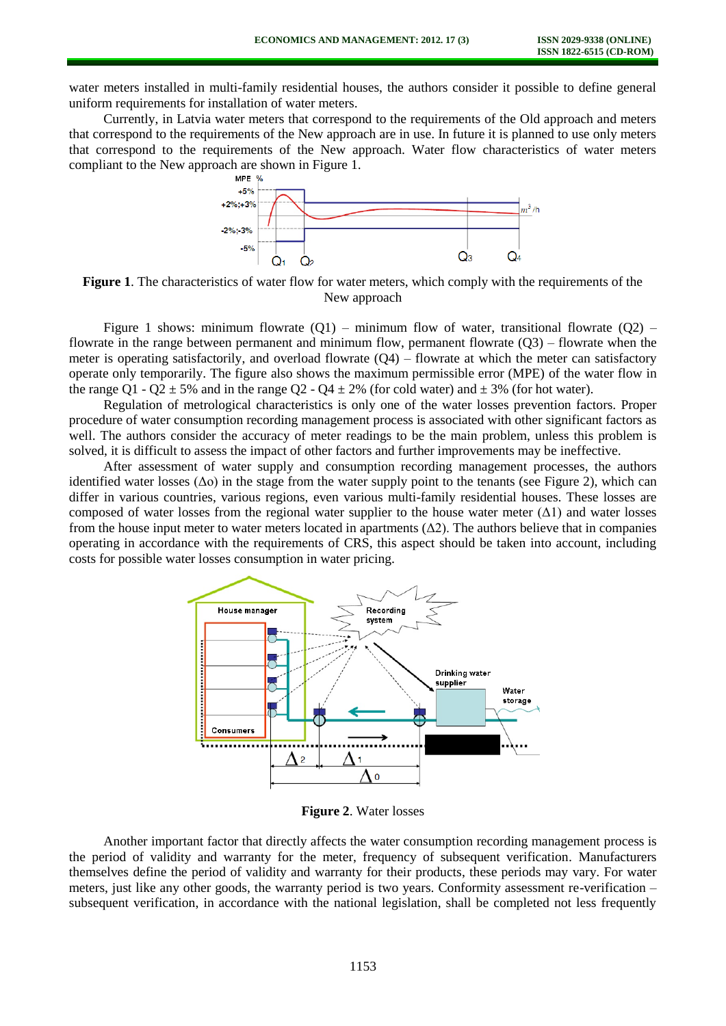water meters installed in multi-family residential houses, the authors consider it possible to define general uniform requirements for installation of water meters.

Currently, in Latvia water meters that correspond to the requirements of the Old approach and meters that correspond to the requirements of the New approach are in use. In future it is planned to use only meters that correspond to the requirements of the New approach. Water flow characteristics of water meters compliant to the New approach are shown in Figure 1.



**Figure 1**. The characteristics of water flow for water meters, which comply with the requirements of the New approach

Figure 1 shows: minimum flowrate  $(O1)$  – minimum flow of water, transitional flowrate  $(O2)$  – flowrate in the range between permanent and minimum flow, permanent flowrate  $(Q3)$  – flowrate when the meter is operating satisfactorily, and overload flowrate  $(Q4)$  – flowrate at which the meter can satisfactory operate only temporarily. The figure also shows the maximum permissible error (MPE) of the water flow in the range Q1 - Q2  $\pm$  5% and in the range Q2 - Q4  $\pm$  2% (for cold water) and  $\pm$  3% (for hot water).

Regulation of metrological characteristics is only one of the water losses prevention factors. Proper procedure of water consumption recording management process is associated with other significant factors as well. The authors consider the accuracy of meter readings to be the main problem, unless this problem is solved, it is difficult to assess the impact of other factors and further improvements may be ineffective.

After assessment of water supply and consumption recording management processes, the authors identified water losses  $(\Delta o)$  in the stage from the water supply point to the tenants (see Figure 2), which can differ in various countries, various regions, even various multi-family residential houses. These losses are composed of water losses from the regional water supplier to the house water meter  $(\Delta 1)$  and water losses from the house input meter to water meters located in apartments  $(\Delta 2)$ . The authors believe that in companies operating in accordance with the requirements of CRS, this aspect should be taken into account, including costs for possible water losses consumption in water pricing.



**Figure 2**. Water losses

Another important factor that directly affects the water consumption recording management process is the period of validity and warranty for the meter, frequency of subsequent verification. Manufacturers themselves define the period of validity and warranty for their products, these periods may vary. For water meters, just like any other goods, the warranty period is two years. Conformity assessment re-verification – subsequent verification, in accordance with the national legislation, shall be completed not less frequently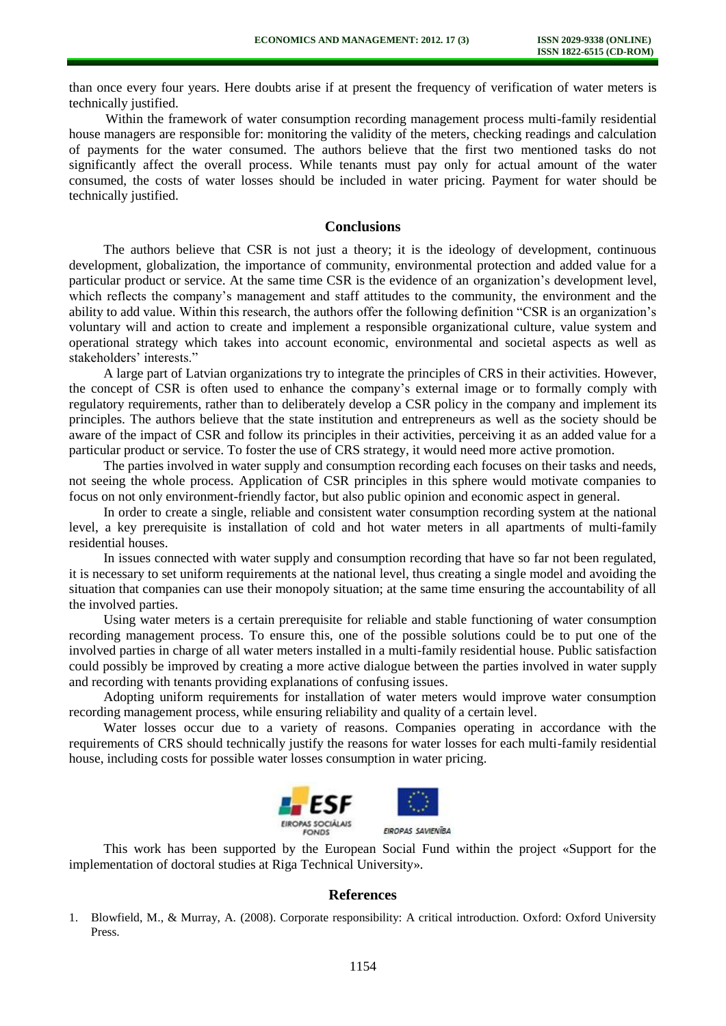than once every four years. Here doubts arise if at present the frequency of verification of water meters is technically justified.

Within the framework of water consumption recording management process multi-family residential house managers are responsible for: monitoring the validity of the meters, checking readings and calculation of payments for the water consumed. The authors believe that the first two mentioned tasks do not significantly affect the overall process. While tenants must pay only for actual amount of the water consumed, the costs of water losses should be included in water pricing. Payment for water should be technically justified.

## **Conclusions**

The authors believe that CSR is not just a theory; it is the ideology of development, continuous development, globalization, the importance of community, environmental protection and added value for a particular product or service. At the same time CSR is the evidence of an organization's development level, which reflects the company's management and staff attitudes to the community, the environment and the ability to add value. Within this research, the authors offer the following definition "CSR is an organization's voluntary will and action to create and implement a responsible organizational culture, value system and operational strategy which takes into account economic, environmental and societal aspects as well as stakeholders' interests."

A large part of Latvian organizations try to integrate the principles of CRS in their activities. However, the concept of CSR is often used to enhance the company's external image or to formally comply with regulatory requirements, rather than to deliberately develop a CSR policy in the company and implement its principles. The authors believe that the state institution and entrepreneurs as well as the society should be aware of the impact of CSR and follow its principles in their activities, perceiving it as an added value for a particular product or service. To foster the use of CRS strategy, it would need more active promotion.

The parties involved in water supply and consumption recording each focuses on their tasks and needs, not seeing the whole process. Application of CSR principles in this sphere would motivate companies to focus on not only environment-friendly factor, but also public opinion and economic aspect in general.

In order to create a single, reliable and consistent water consumption recording system at the national level, a key prerequisite is installation of cold and hot water meters in all apartments of multi-family residential houses.

In issues connected with water supply and consumption recording that have so far not been regulated, it is necessary to set uniform requirements at the national level, thus creating a single model and avoiding the situation that companies can use their monopoly situation; at the same time ensuring the accountability of all the involved parties.

Using water meters is a certain prerequisite for reliable and stable functioning of water consumption recording management process. To ensure this, one of the possible solutions could be to put one of the involved parties in charge of all water meters installed in a multi-family residential house. Public satisfaction could possibly be improved by creating a more active dialogue between the parties involved in water supply and recording with tenants providing explanations of confusing issues.

Adopting uniform requirements for installation of water meters would improve water consumption recording management process, while ensuring reliability and quality of a certain level.

Water losses occur due to a variety of reasons. Companies operating in accordance with the requirements of CRS should technically justify the reasons for water losses for each multi-family residential house, including costs for possible water losses consumption in water pricing.



This work has been supported by the European Social Fund within the project «Support for the implementation of doctoral studies at Riga Technical University».

## **References**

1. Blowfield, M., & Murray, A. (2008). Corporate responsibility: A critical introduction. Oxford: Oxford University Press.